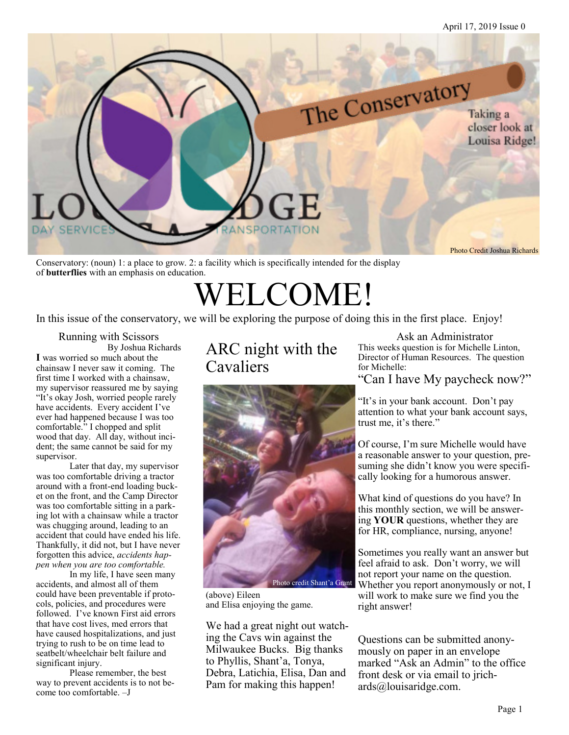

Conservatory: (noun) 1: a place to grow. 2: a facility which is specifically intended for the display of **butterflies** with an emphasis on education.

## WELCOME!

In this issue of the conservatory, we will be exploring the purpose of doing this in the first place. Enjoy!

Running with Scissors By Joshua Richards **I** was worried so much about the chainsaw I never saw it coming. The first time I worked with a chainsaw, my supervisor reassured me by saying "It's okay Josh, worried people rarely have accidents. Every accident I've ever had happened because I was too comfortable." I chopped and split wood that day. All day, without incident; the same cannot be said for my supervisor.

Later that day, my supervisor was too comfortable driving a tractor around with a front-end loading bucket on the front, and the Camp Director was too comfortable sitting in a parking lot with a chainsaw while a tractor was chugging around, leading to an accident that could have ended his life. Thankfully, it did not, but I have never forgotten this advice, *accidents happen when you are too comfortable.*

In my life, I have seen many accidents, and almost all of them could have been preventable if protocols, policies, and procedures were followed. I've known First aid errors that have cost lives, med errors that have caused hospitalizations, and just trying to rush to be on time lead to seatbelt/wheelchair belt failure and significant injury.

Please remember, the best way to prevent accidents is to not become too comfortable. –J

#### ARC night with the Cavaliers



(above) Eileen and Elisa enjoying the game.

We had a great night out watching the Cavs win against the Milwaukee Bucks. Big thanks to Phyllis, Shant'a, Tonya, Debra, Latichia, Elisa, Dan and Pam for making this happen!

Ask an Administrator This weeks question is for Michelle Linton, Director of Human Resources. The question for Michelle:

"Can I have My paycheck now?"

"It's in your bank account. Don't pay attention to what your bank account says, trust me, it's there."

Of course, I'm sure Michelle would have a reasonable answer to your question, presuming she didn't know you were specifically looking for a humorous answer.

What kind of questions do you have? In this monthly section, we will be answering **YOUR** questions, whether they are for HR, compliance, nursing, anyone!

Sometimes you really want an answer but feel afraid to ask. Don't worry, we will not report your name on the question. Photo credit Shant'a Grant Whether you report anonymously or not, I will work to make sure we find you the right answer!

> Questions can be submitted anonymously on paper in an envelope marked "Ask an Admin" to the office front desk or via email to jrichards@louisaridge.com.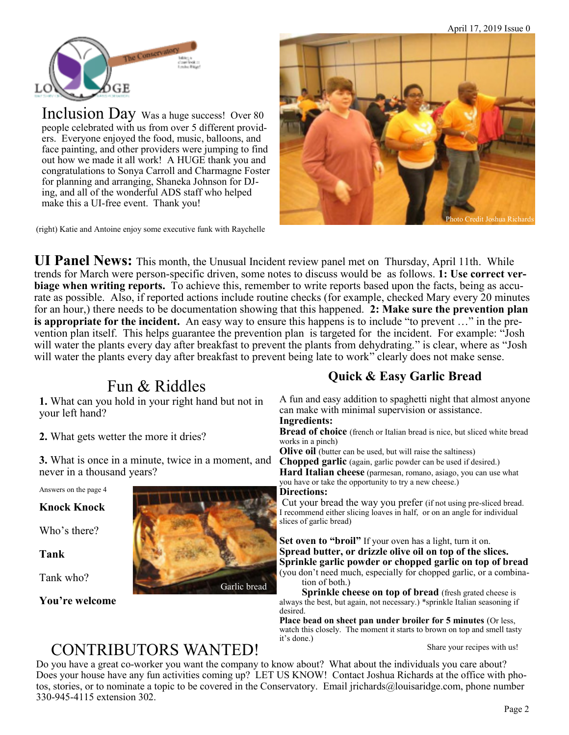

Inclusion Day Was a huge success! Over 80 people celebrated with us from over 5 different providers. Everyone enjoyed the food, music, balloons, and face painting, and other providers were jumping to find out how we made it all work! A HUGE thank you and congratulations to Sonya Carroll and Charmagne Foster for planning and arranging, Shaneka Johnson for DJing, and all of the wonderful ADS staff who helped make this a UI-free event. Thank you!

(right) Katie and Antoine enjoy some executive funk with Raychelle



**UI Panel News:** This month, the Unusual Incident review panel met on Thursday, April 11th. While trends for March were person-specific driven, some notes to discuss would be as follows. **1: Use correct verbiage when writing reports.** To achieve this, remember to write reports based upon the facts, being as accurate as possible. Also, if reported actions include routine checks (for example, checked Mary every 20 minutes for an hour,) there needs to be documentation showing that this happened. **2: Make sure the prevention plan is appropriate for the incident.** An easy way to ensure this happens is to include "to prevent …" in the prevention plan itself. This helps guarantee the prevention plan is targeted for the incident. For example: "Josh will water the plants every day after breakfast to prevent the plants from dehydrating." is clear, where as "Josh will water the plants every day after breakfast to prevent being late to work" clearly does not make sense.

#### Fun & Riddles

**1.** What can you hold in your right hand but not in your left hand?

**2.** What gets wetter the more it dries?

**3.** What is once in a minute, twice in a moment, and never in a thousand years?

Answers on the page 4

**Knock Knock**

Who's there?

**Tank**

Tank who?

#### **You're welcome**



Garlic bread

#### **Quick & Easy Garlic Bread**

A fun and easy addition to spaghetti night that almost anyone can make with minimal supervision or assistance.

**Ingredients:** 

**Bread of choice** (french or Italian bread is nice, but sliced white bread works in a pinch)

**Olive oil** (butter can be used, but will raise the saltiness)

**Chopped garlic** (again, garlic powder can be used if desired.) **Hard Italian cheese** (parmesan, romano, asiago, you can use what you have or take the opportunity to try a new cheese.)

#### **Directions:**

 Cut your bread the way you prefer (if not using pre-sliced bread. I recommend either slicing loaves in half, or on an angle for individual slices of garlic bread)

**Set oven to "broil"** If your oven has a light, turn it on. **Spread butter, or drizzle olive oil on top of the slices. Sprinkle garlic powder or chopped garlic on top of bread**  (you don't need much, especially for chopped garlic, or a combination of both.)

**Sprinkle cheese on top of bread** (fresh grated cheese is always the best, but again, not necessary.) \*sprinkle Italian seasoning if desired.

**Place bead on sheet pan under broiler for 5 minutes** (Or less, watch this closely. The moment it starts to brown on top and smell tasty it's done.)

Share your recipes with us!

#### CONTRIBUTORS WANTED!

Do you have a great co-worker you want the company to know about? What about the individuals you care about? Does your house have any fun activities coming up? LET US KNOW! Contact Joshua Richards at the office with photos, stories, or to nominate a topic to be covered in the Conservatory. Email jrichards@louisaridge.com, phone number 330-945-4115 extension 302.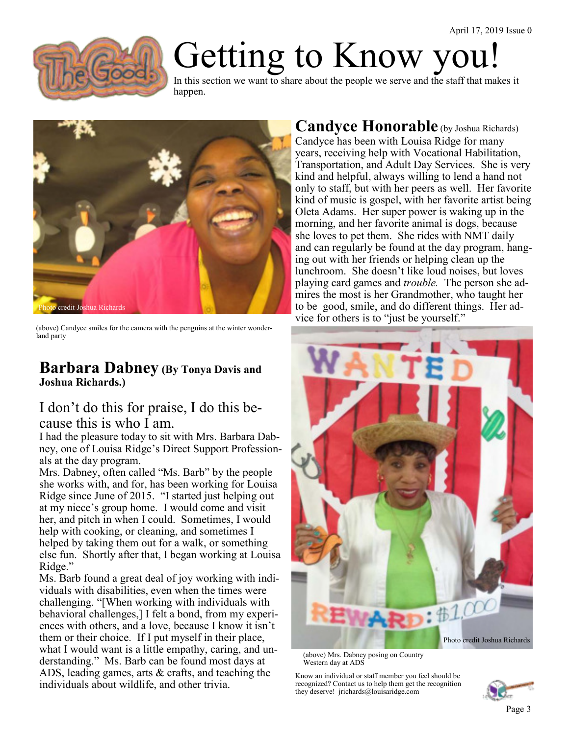

## Getting to Know you!

In this section we want to share about the people we serve and the staff that makes it happen.



(above) Candyce smiles for the camera with the penguins at the winter wonderland party

#### **Barbara Dabney (By Tonya Davis and Joshua Richards.)**

#### I don't do this for praise, I do this because this is who I am.

I had the pleasure today to sit with Mrs. Barbara Dabney, one of Louisa Ridge's Direct Support Professionals at the day program.

Mrs. Dabney, often called "Ms. Barb" by the people she works with, and for, has been working for Louisa Ridge since June of 2015. "I started just helping out at my niece's group home. I would come and visit her, and pitch in when I could. Sometimes, I would help with cooking, or cleaning, and sometimes I helped by taking them out for a walk, or something else fun. Shortly after that, I began working at Louisa Ridge."

Ms. Barb found a great deal of joy working with individuals with disabilities, even when the times were challenging. "[When working with individuals with behavioral challenges,] I felt a bond, from my experiences with others, and a love, because I know it isn't them or their choice. If I put myself in their place, what I would want is a little empathy, caring, and understanding." Ms. Barb can be found most days at ADS, leading games, arts & crafts, and teaching the individuals about wildlife, and other trivia.

#### **Candyce Honorable** (by Joshua Richards)

Candyce has been with Louisa Ridge for many years, receiving help with Vocational Habilitation, Transportation, and Adult Day Services. She is very kind and helpful, always willing to lend a hand not only to staff, but with her peers as well. Her favorite kind of music is gospel, with her favorite artist being Oleta Adams. Her super power is waking up in the morning, and her favorite animal is dogs, because she loves to pet them. She rides with NMT daily and can regularly be found at the day program, hanging out with her friends or helping clean up the lunchroom. She doesn't like loud noises, but loves playing card games and *trouble.* The person she admires the most is her Grandmother, who taught her to be good, smile, and do different things. Her advice for others is to "just be yourself."



(above) Mrs. Dabney posing on Country Western day at ADS

Know an individual or staff member you feel should be recognized? Contact us to help them get the recognition they deserve! jrichards@louisaridge.com